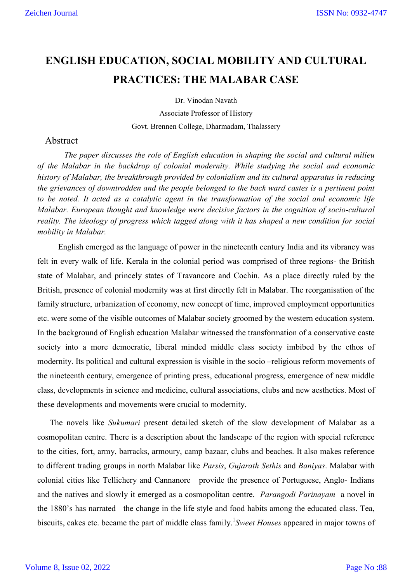## **ENGLISH EDUCATION, SOCIAL MOBILITY AND CULTURAL PRACTICES: THE MALABAR CASE**

Dr. Vinodan Navath

Associate Professor of History Govt. Brennen College, Dharmadam, Thalassery

## Abstract

 *The paper discusses the role of English education in shaping the social and cultural milieu of the Malabar in the backdrop of colonial modernity. While studying the social and economic history of Malabar, the breakthrough provided by colonialism and its cultural apparatus in reducing the grievances of downtrodden and the people belonged to the back ward castes is a pertinent point to be noted. It acted as a catalytic agent in the transformation of the social and economic life Malabar. European thought and knowledge were decisive factors in the cognition of socio-cultural reality. The ideology of progress which tagged along with it has shaped a new condition for social mobility in Malabar.*

 English emerged as the language of power in the nineteenth century India and its vibrancy was felt in every walk of life. Kerala in the colonial period was comprised of three regions- the British state of Malabar, and princely states of Travancore and Cochin. As a place directly ruled by the British, presence of colonial modernity was at first directly felt in Malabar. The reorganisation of the family structure, urbanization of economy, new concept of time, improved employment opportunities etc. were some of the visible outcomes of Malabar society groomed by the western education system. In the background of English education Malabar witnessed the transformation of a conservative caste society into a more democratic, liberal minded middle class society imbibed by the ethos of modernity. Its political and cultural expression is visible in the socio –religious reform movements of the nineteenth century, emergence of printing press, educational progress, emergence of new middle class, developments in science and medicine, cultural associations, clubs and new aesthetics. Most of these developments and movements were crucial to modernity.

 The novels like *Sukumari* present detailed sketch of the slow development of Malabar as a cosmopolitan centre. There is a description about the landscape of the region with special reference to the cities, fort, army, barracks, armoury, camp bazaar, clubs and beaches. It also makes reference to different trading groups in north Malabar like *Parsis*, *Gujarath Sethis* and *Baniyas*. Malabar with colonial cities like Tellichery and Cannanore provide the presence of Portuguese, Anglo- Indians and the natives and slowly it emerged as a cosmopolitan centre. *Parangodi Parinayam* a novel in the 1880's has narrated the change in the life style and food habits among the educated class. Tea, biscuits, cakes etc. became the part of middle class family. 1 *Sweet Houses* appeared in major towns of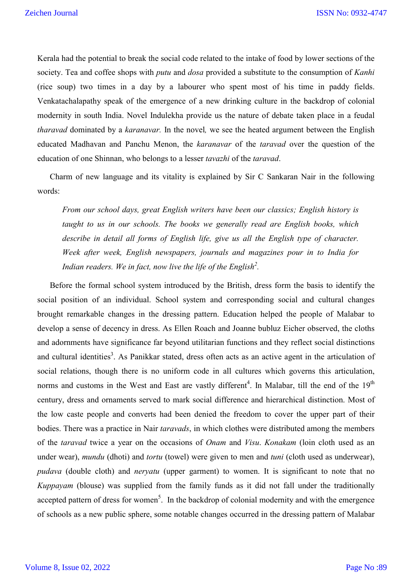Kerala had the potential to break the social code related to the intake of food by lower sections of the society. Tea and coffee shops with *putu* and *dosa* provided a substitute to the consumption of *Kanhi* (rice soup) two times in a day by a labourer who spent most of his time in paddy fields. Venkatachalapathy speak of the emergence of a new drinking culture in the backdrop of colonial modernity in south India. Novel Indulekha provide us the nature of debate taken place in a feudal *tharavad* dominated by a *karanavar.* In the novel*,* we see the heated argument between the English educated Madhavan and Panchu Menon, the *karanavar* of the *taravad* over the question of the education of one Shinnan, who belongs to a lesser *tavazhi* of the *taravad*.

 Charm of new language and its vitality is explained by Sir C Sankaran Nair in the following words:

*From our school days, great English writers have been our classics; English history is taught to us in our schools. The books we generally read are English books, which describe in detail all forms of English life, give us all the English type of character. Week after week, English newspapers, journals and magazines pour in to India for Indian readers. We in fact, now live the life of the English<sup>2</sup> .*

 Before the formal school system introduced by the British, dress form the basis to identify the social position of an individual. School system and corresponding social and cultural changes brought remarkable changes in the dressing pattern. Education helped the people of Malabar to develop a sense of decency in dress. As Ellen Roach and Joanne bubluz Eicher observed, the cloths and adornments have significance far beyond utilitarian functions and they reflect social distinctions and cultural identities<sup>3</sup>. As Panikkar stated, dress often acts as an active agent in the articulation of social relations, though there is no uniform code in all cultures which governs this articulation, norms and customs in the West and East are vastly different<sup>4</sup>. In Malabar, till the end of the  $19^{th}$ century, dress and ornaments served to mark social difference and hierarchical distinction. Most of the low caste people and converts had been denied the freedom to cover the upper part of their bodies. There was a practice in Nair *taravads*, in which clothes were distributed among the members of the *taravad* twice a year on the occasions of *Onam* and *Visu*. *Konakam* (loin cloth used as an under wear), *mundu* (dhoti) and *tortu* (towel) were given to men and *tuni* (cloth used as underwear), *pudava* (double cloth) and *neryatu* (upper garment) to women. It is significant to note that no *Kuppayam* (blouse) was supplied from the family funds as it did not fall under the traditionally accepted pattern of dress for women<sup>5</sup>. In the backdrop of colonial modernity and with the emergence of schools as a new public sphere, some notable changes occurred in the dressing pattern of Malabar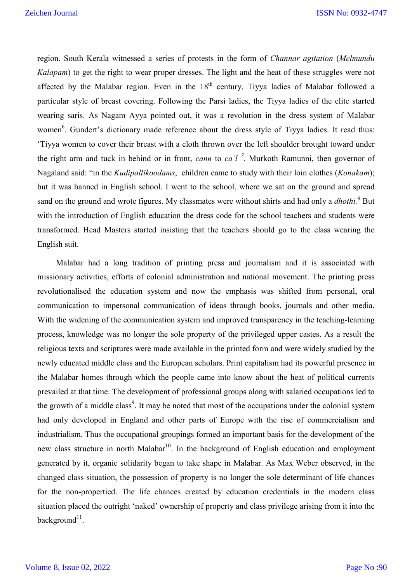region. South Kerala witnessed a series of protests in the form of *Channar agitation* (*Melmundu Kalapam*) to get the right to wear proper dresses. The light and the heat of these struggles were not affected by the Malabar region. Even in the  $18<sup>th</sup>$  century, Tiyya ladies of Malabar followed a particular style of breast covering. Following the Parsi ladies, the Tiyya ladies of the elite started wearing saris. As Nagam Ayya pointed out, it was a revolution in the dress system of Malabar women<sup>6</sup>. Gundert's dictionary made reference about the dress style of Tiyya ladies. It read thus: 'Tiyya women to cover their breast with a cloth thrown over the left shoulder brought toward under the right arm and tuck in behind or in front, *cann* to *ca'l <sup>7</sup>* . Murkoth Ramunni, then governor of Nagaland said: "in the *Kudipallikoodams*, children came to study with their loin clothes (*Konakam*); but it was banned in English school. I went to the school, where we sat on the ground and spread sand on the ground and wrote figures. My classmates were without shirts and had only a *dhothi.<sup>8</sup>* But with the introduction of English education the dress code for the school teachers and students were transformed. Head Masters started insisting that the teachers should go to the class wearing the English suit.

 Malabar had a long tradition of printing press and journalism and it is associated with missionary activities, efforts of colonial administration and national movement. The printing press revolutionalised the education system and now the emphasis was shifted from personal, oral communication to impersonal communication of ideas through books, journals and other media. With the widening of the communication system and improved transparency in the teaching-learning process, knowledge was no longer the sole property of the privileged upper castes. As a result the religious texts and scriptures were made available in the printed form and were widely studied by the newly educated middle class and the European scholars. Print capitalism had its powerful presence in the Malabar homes through which the people came into know about the heat of political currents prevailed at that time. The development of professional groups along with salaried occupations led to the growth of a middle class<sup>9</sup>. It may be noted that most of the occupations under the colonial system had only developed in England and other parts of Europe with the rise of commercialism and industrialism. Thus the occupational groupings formed an important basis for the development of the new class structure in north Malabar<sup>10</sup>. In the background of English education and employment generated by it, organic solidarity began to take shape in Malabar. As Max Weber observed, in the changed class situation, the possession of property is no longer the sole determinant of life chances for the non-propertied. The life chances created by education credentials in the modern class situation placed the outright 'naked' ownership of property and class privilege arising from it into the background $11$ .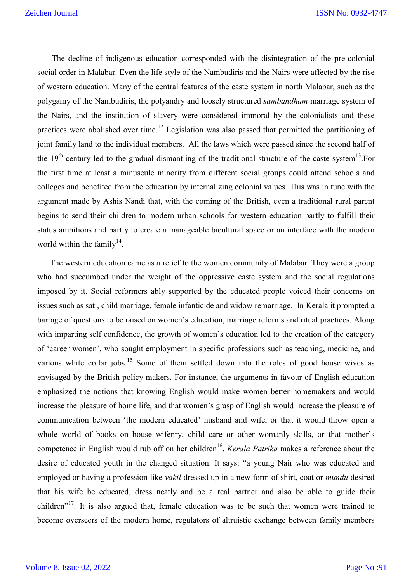The decline of indigenous education corresponded with the disintegration of the pre-colonial social order in Malabar. Even the life style of the Nambudiris and the Nairs were affected by the rise of western education. Many of the central features of the caste system in north Malabar, such as the polygamy of the Nambudiris, the polyandry and loosely structured *sambandham* marriage system of the Nairs, and the institution of slavery were considered immoral by the colonialists and these practices were abolished over time.<sup>12</sup> Legislation was also passed that permitted the partitioning of joint family land to the individual members. All the laws which were passed since the second half of the  $19<sup>th</sup>$  century led to the gradual dismantling of the traditional structure of the caste system<sup>13</sup>. For the first time at least a minuscule minority from different social groups could attend schools and colleges and benefited from the education by internalizing colonial values. This was in tune with the argument made by Ashis Nandi that, with the coming of the British, even a traditional rural parent begins to send their children to modern urban schools for western education partly to fulfill their status ambitions and partly to create a manageable bicultural space or an interface with the modern world within the family<sup>14</sup>.

 The western education came as a relief to the women community of Malabar. They were a group who had succumbed under the weight of the oppressive caste system and the social regulations imposed by it. Social reformers ably supported by the educated people voiced their concerns on issues such as sati, child marriage, female infanticide and widow remarriage. In Kerala it prompted a barrage of questions to be raised on women's education, marriage reforms and ritual practices. Along with imparting self confidence, the growth of women's education led to the creation of the category of 'career women', who sought employment in specific professions such as teaching, medicine, and various white collar jobs.<sup>15</sup> Some of them settled down into the roles of good house wives as envisaged by the British policy makers. For instance, the arguments in favour of English education emphasized the notions that knowing English would make women better homemakers and would increase the pleasure of home life, and that women's grasp of English would increase the pleasure of communication between 'the modern educated' husband and wife, or that it would throw open a whole world of books on house wifenry, child care or other womanly skills, or that mother's competence in English would rub off on her children<sup>16</sup>. *Kerala Patrika* makes a reference about the desire of educated youth in the changed situation. It says: "a young Nair who was educated and employed or having a profession like *vakil* dressed up in a new form of shirt, coat or *mundu* desired that his wife be educated, dress neatly and be a real partner and also be able to guide their children"<sup>17</sup>. It is also argued that, female education was to be such that women were trained to become overseers of the modern home, regulators of altruistic exchange between family members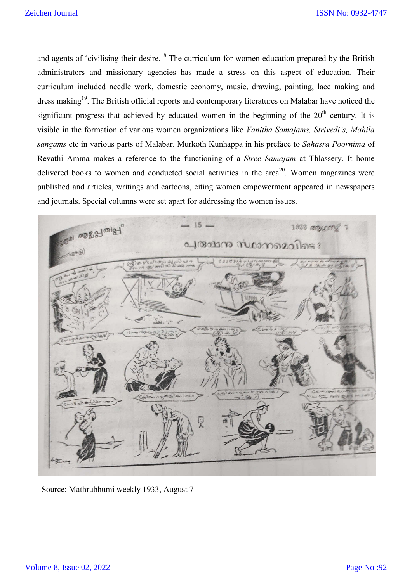and agents of 'civilising their desire.<sup>18</sup> The curriculum for women education prepared by the British administrators and missionary agencies has made a stress on this aspect of education. Their curriculum included needle work, domestic economy, music, drawing, painting, lace making and dress making<sup>19</sup>. The British official reports and contemporary literatures on Malabar have noticed the significant progress that achieved by educated women in the beginning of the  $20<sup>th</sup>$  century. It is visible in the formation of various women organizations like *Vanitha Samajams, Strivedi's, Mahila sangams* etc in various parts of Malabar. Murkoth Kunhappa in his preface to *Sahasra Poornima* of Revathi Amma makes a reference to the functioning of a *Stree Samajam* at Thlassery. It home delivered books to women and conducted social activities in the area<sup>20</sup>. Women magazines were published and articles, writings and cartoons, citing women empowerment appeared in newspapers and journals. Special columns were set apart for addressing the women issues.



Source: Mathrubhumi weekly 1933, August 7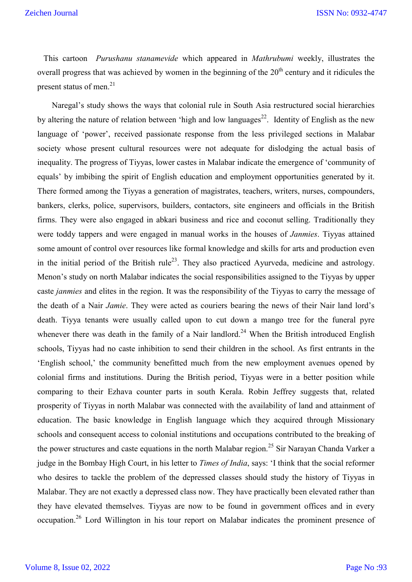This cartoon *Purushanu stanamevide* which appeared in *Mathrubumi* weekly, illustrates the overall progress that was achieved by women in the beginning of the  $20<sup>th</sup>$  century and it ridicules the present status of men. $^{21}$ 

 Naregal's study shows the ways that colonial rule in South Asia restructured social hierarchies by altering the nature of relation between 'high and low languages<sup>22</sup>. Identity of English as the new language of 'power', received passionate response from the less privileged sections in Malabar society whose present cultural resources were not adequate for dislodging the actual basis of inequality. The progress of Tiyyas, lower castes in Malabar indicate the emergence of 'community of equals' by imbibing the spirit of English education and employment opportunities generated by it. There formed among the Tiyyas a generation of magistrates, teachers, writers, nurses, compounders, bankers, clerks, police, supervisors, builders, contactors, site engineers and officials in the British firms. They were also engaged in abkari business and rice and coconut selling. Traditionally they were toddy tappers and were engaged in manual works in the houses of *Janmies*. Tiyyas attained some amount of control over resources like formal knowledge and skills for arts and production even in the initial period of the British rule<sup>23</sup>. They also practiced Ayurveda, medicine and astrology. Menon's study on north Malabar indicates the social responsibilities assigned to the Tiyyas by upper caste *janmies* and elites in the region. It was the responsibility of the Tiyyas to carry the message of the death of a Nair *Jamie*. They were acted as couriers bearing the news of their Nair land lord's death. Tiyya tenants were usually called upon to cut down a mango tree for the funeral pyre whenever there was death in the family of a Nair landlord.<sup>24</sup> When the British introduced English schools, Tiyyas had no caste inhibition to send their children in the school. As first entrants in the 'English school,' the community benefitted much from the new employment avenues opened by colonial firms and institutions. During the British period, Tiyyas were in a better position while comparing to their Ezhava counter parts in south Kerala. Robin Jeffrey suggests that, related prosperity of Tiyyas in north Malabar was connected with the availability of land and attainment of education. The basic knowledge in English language which they acquired through Missionary schools and consequent access to colonial institutions and occupations contributed to the breaking of the power structures and caste equations in the north Malabar region.<sup>25</sup> Sir Narayan Chanda Varker a judge in the Bombay High Court, in his letter to *Times of India*, says: 'I think that the social reformer who desires to tackle the problem of the depressed classes should study the history of Tiyyas in Malabar. They are not exactly a depressed class now. They have practically been elevated rather than they have elevated themselves. Tiyyas are now to be found in government offices and in every occupation.<sup>26</sup> Lord Willington in his tour report on Malabar indicates the prominent presence of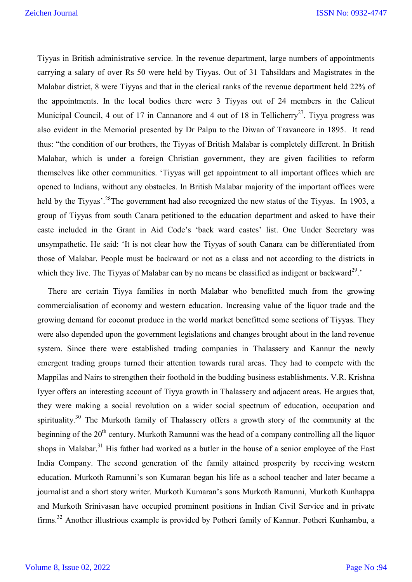Tiyyas in British administrative service. In the revenue department, large numbers of appointments carrying a salary of over Rs 50 were held by Tiyyas. Out of 31 Tahsildars and Magistrates in the Malabar district, 8 were Tiyyas and that in the clerical ranks of the revenue department held 22% of the appointments. In the local bodies there were 3 Tiyyas out of 24 members in the Calicut Municipal Council, 4 out of 17 in Cannanore and 4 out of 18 in Tellicherry<sup>27</sup>. Tiyya progress was also evident in the Memorial presented by Dr Palpu to the Diwan of Travancore in 1895. It read thus: "the condition of our brothers, the Tiyyas of British Malabar is completely different. In British Malabar, which is under a foreign Christian government, they are given facilities to reform themselves like other communities. 'Tiyyas will get appointment to all important offices which are opened to Indians, without any obstacles. In British Malabar majority of the important offices were held by the Tiyyas'.<sup>28</sup>The government had also recognized the new status of the Tiyyas. In 1903, a group of Tiyyas from south Canara petitioned to the education department and asked to have their caste included in the Grant in Aid Code's 'back ward castes' list. One Under Secretary was unsympathetic. He said: 'It is not clear how the Tiyyas of south Canara can be differentiated from those of Malabar. People must be backward or not as a class and not according to the districts in which they live. The Tiyyas of Malabar can by no means be classified as indigent or backward<sup>29</sup>.'

 There are certain Tiyya families in north Malabar who benefitted much from the growing commercialisation of economy and western education. Increasing value of the liquor trade and the growing demand for coconut produce in the world market benefitted some sections of Tiyyas. They were also depended upon the government legislations and changes brought about in the land revenue system. Since there were established trading companies in Thalassery and Kannur the newly emergent trading groups turned their attention towards rural areas. They had to compete with the Mappilas and Nairs to strengthen their foothold in the budding business establishments. V.R. Krishna Iyyer offers an interesting account of Tiyya growth in Thalassery and adjacent areas. He argues that, they were making a social revolution on a wider social spectrum of education, occupation and spirituality.<sup>30</sup> The Murkoth family of Thalassery offers a growth story of the community at the beginning of the 20<sup>th</sup> century. Murkoth Ramunni was the head of a company controlling all the liquor shops in Malabar.<sup>31</sup> His father had worked as a butler in the house of a senior employee of the East India Company. The second generation of the family attained prosperity by receiving western education. Murkoth Ramunni's son Kumaran began his life as a school teacher and later became a journalist and a short story writer. Murkoth Kumaran's sons Murkoth Ramunni, Murkoth Kunhappa and Murkoth Srinivasan have occupied prominent positions in Indian Civil Service and in private firms.32 Another illustrious example is provided by Potheri family of Kannur. Potheri Kunhambu, a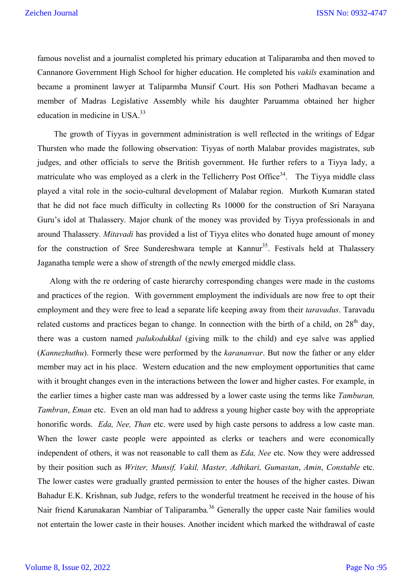famous novelist and a journalist completed his primary education at Taliparamba and then moved to Cannanore Government High School for higher education. He completed his *vakils* examination and became a prominent lawyer at Taliparmba Munsif Court. His son Potheri Madhavan became a member of Madras Legislative Assembly while his daughter Paruamma obtained her higher education in medicine in USA.<sup>33</sup>

 The growth of Tiyyas in government administration is well reflected in the writings of Edgar Thursten who made the following observation: Tiyyas of north Malabar provides magistrates, sub judges, and other officials to serve the British government. He further refers to a Tiyya lady, a matriculate who was employed as a clerk in the Tellicherry Post Office<sup>34</sup>. The Tiyya middle class played a vital role in the socio-cultural development of Malabar region. Murkoth Kumaran stated that he did not face much difficulty in collecting Rs 10000 for the construction of Sri Narayana Guru's idol at Thalassery. Major chunk of the money was provided by Tiyya professionals in and around Thalassery. *Mitavadi* has provided a list of Tiyya elites who donated huge amount of money for the construction of Sree Sundereshwara temple at Kannur<sup>35</sup>. Festivals held at Thalassery Jaganatha temple were a show of strength of the newly emerged middle class.

 Along with the re ordering of caste hierarchy corresponding changes were made in the customs and practices of the region. With government employment the individuals are now free to opt their employment and they were free to lead a separate life keeping away from their *taravadus*. Taravadu related customs and practices began to change. In connection with the birth of a child, on  $28<sup>th</sup>$  day, there was a custom named *palukodukkal* (giving milk to the child) and eye salve was applied (*Kannezhuthu*). Formerly these were performed by the *karananvar*. But now the father or any elder member may act in his place. Western education and the new employment opportunities that came with it brought changes even in the interactions between the lower and higher castes. For example, in the earlier times a higher caste man was addressed by a lower caste using the terms like *Tamburan, Tambran*, *Eman* etc. Even an old man had to address a young higher caste boy with the appropriate honorific words. *Eda, Nee, Than* etc. were used by high caste persons to address a low caste man. When the lower caste people were appointed as clerks or teachers and were economically independent of others, it was not reasonable to call them as *Eda, Nee* etc. Now they were addressed by their position such as *Writer, Munsif, Vakil, Master, Adhikari, Gumastan*, *Amin*, *Constable* etc. The lower castes were gradually granted permission to enter the houses of the higher castes. Diwan Bahadur E.K. Krishnan, sub Judge, refers to the wonderful treatment he received in the house of his Nair friend Karunakaran Nambiar of Taliparamba.<sup>36</sup> Generally the upper caste Nair families would not entertain the lower caste in their houses. Another incident which marked the withdrawal of caste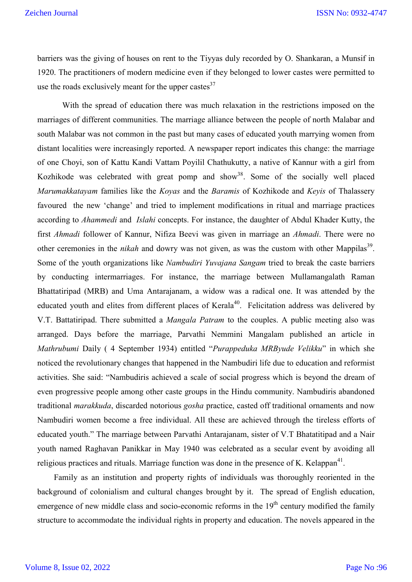barriers was the giving of houses on rent to the Tiyyas duly recorded by O. Shankaran, a Munsif in 1920. The practitioners of modern medicine even if they belonged to lower castes were permitted to use the roads exclusively meant for the upper castes $37$ 

 With the spread of education there was much relaxation in the restrictions imposed on the marriages of different communities. The marriage alliance between the people of north Malabar and south Malabar was not common in the past but many cases of educated youth marrying women from distant localities were increasingly reported. A newspaper report indicates this change: the marriage of one Choyi, son of Kattu Kandi Vattam Poyilil Chathukutty, a native of Kannur with a girl from Kozhikode was celebrated with great pomp and show<sup>38</sup>. Some of the socially well placed *Marumakkatayam* families like the *Koyas* and the *Baramis* of Kozhikode and *Keyis* of Thalassery favoured the new 'change' and tried to implement modifications in ritual and marriage practices according to *Ahammedi* and *Islahi* concepts. For instance, the daughter of Abdul Khader Kutty, the first *Ahmadi* follower of Kannur, Nifiza Beevi was given in marriage an *Ahmadi*. There were no other ceremonies in the *nikah* and dowry was not given, as was the custom with other Mappilas<sup>39</sup>. Some of the youth organizations like *Nambudiri Yuvajana Sangam* tried to break the caste barriers by conducting intermarriages. For instance, the marriage between Mullamangalath Raman Bhattatiripad (MRB) and Uma Antarajanam, a widow was a radical one. It was attended by the educated youth and elites from different places of Kerala<sup>40</sup>. Felicitation address was delivered by V.T. Battatiripad. There submitted a *Mangala Patram* to the couples. A public meeting also was arranged. Days before the marriage, Parvathi Nemmini Mangalam published an article in *Mathrubumi* Daily ( 4 September 1934) entitled "*Purappeduka MRByude Velikku*" in which she noticed the revolutionary changes that happened in the Nambudiri life due to education and reformist activities. She said: "Nambudiris achieved a scale of social progress which is beyond the dream of even progressive people among other caste groups in the Hindu community. Nambudiris abandoned traditional *marakkuda*, discarded notorious *gosha* practice, casted off traditional ornaments and now Nambudiri women become a free individual. All these are achieved through the tireless efforts of educated youth." The marriage between Parvathi Antarajanam, sister of V.T Bhatatitipad and a Nair youth named Raghavan Panikkar in May 1940 was celebrated as a secular event by avoiding all religious practices and rituals. Marriage function was done in the presence of K. Kelappan<sup>41</sup>.

 Family as an institution and property rights of individuals was thoroughly reoriented in the background of colonialism and cultural changes brought by it. The spread of English education, emergence of new middle class and socio-economic reforms in the  $19<sup>th</sup>$  century modified the family structure to accommodate the individual rights in property and education. The novels appeared in the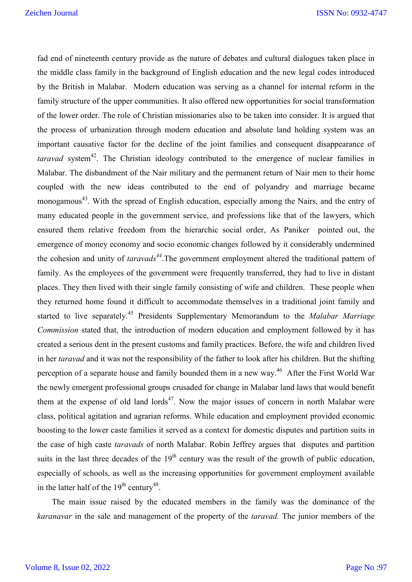fad end of nineteenth century provide as the nature of debates and cultural dialogues taken place in the middle class family in the background of English education and the new legal codes introduced by the British in Malabar. Modern education was serving as a channel for internal reform in the family structure of the upper communities. It also offered new opportunities for social transformation of the lower order. The role of Christian missionaries also to be taken into consider. It is argued that the process of urbanization through modern education and absolute land holding system was an important causative factor for the decline of the joint families and consequent disappearance of *taravad* system<sup>42</sup>. The Christian ideology contributed to the emergence of nuclear families in Malabar. The disbandment of the Nair military and the permanent return of Nair men to their home coupled with the new ideas contributed to the end of polyandry and marriage became monogamous<sup>43</sup>. With the spread of English education, especially among the Nairs, and the entry of many educated people in the government service, and professions like that of the lawyers, which ensured them relative freedom from the hierarchic social order, As Paniker pointed out, the emergence of money economy and socio economic changes followed by it considerably undermined the cohesion and unity of *taravads<sup>44</sup>*.The government employment altered the traditional pattern of family. As the employees of the government were frequently transferred, they had to live in distant places. They then lived with their single family consisting of wife and children. These people when they returned home found it difficult to accommodate themselves in a traditional joint family and started to live separately.<sup>45</sup> Presidents Supplementary Memorandum to the *Malabar Marriage Commission* stated that, the introduction of modern education and employment followed by it has created a serious dent in the present customs and family practices. Before, the wife and children lived in her *taravad* and it was not the responsibility of the father to look after his children. But the shifting perception of a separate house and family bounded them in a new way.<sup>46</sup> After the First World War the newly emergent professional groups crusaded for change in Malabar land laws that would benefit them at the expense of old land lords<sup>47</sup>. Now the major issues of concern in north Malabar were class, political agitation and agrarian reforms. While education and employment provided economic boosting to the lower caste families it served as a context for domestic disputes and partition suits in the case of high caste *taravads* of north Malabar. Robin Jeffrey argues that disputes and partition suits in the last three decades of the  $19<sup>th</sup>$  century was the result of the growth of public education, especially of schools, as well as the increasing opportunities for government employment available in the latter half of the  $19<sup>th</sup>$  century<sup>48</sup>.

 The main issue raised by the educated members in the family was the dominance of the *karanavar* in the sale and management of the property of the *taravad.* The junior members of the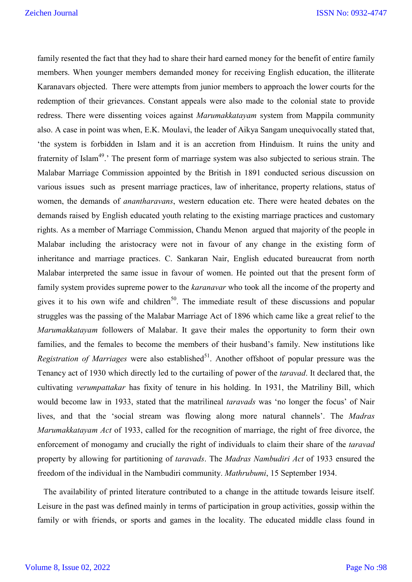family resented the fact that they had to share their hard earned money for the benefit of entire family members. When younger members demanded money for receiving English education, the illiterate Karanavars objected. There were attempts from junior members to approach the lower courts for the redemption of their grievances. Constant appeals were also made to the colonial state to provide redress. There were dissenting voices against *Marumakkatayam* system from Mappila community also. A case in point was when, E.K. Moulavi, the leader of Aikya Sangam unequivocally stated that, 'the system is forbidden in Islam and it is an accretion from Hinduism. It ruins the unity and fraternity of Islam<sup>49</sup>.' The present form of marriage system was also subjected to serious strain. The Malabar Marriage Commission appointed by the British in 1891 conducted serious discussion on various issues such as present marriage practices, law of inheritance, property relations, status of women, the demands of *anantharavans*, western education etc. There were heated debates on the demands raised by English educated youth relating to the existing marriage practices and customary rights. As a member of Marriage Commission, Chandu Menon argued that majority of the people in Malabar including the aristocracy were not in favour of any change in the existing form of inheritance and marriage practices. C. Sankaran Nair, English educated bureaucrat from north Malabar interpreted the same issue in favour of women. He pointed out that the present form of family system provides supreme power to the *karanavar* who took all the income of the property and gives it to his own wife and children<sup>50</sup>. The immediate result of these discussions and popular struggles was the passing of the Malabar Marriage Act of 1896 which came like a great relief to the *Marumakkatayam* followers of Malabar. It gave their males the opportunity to form their own families, and the females to become the members of their husband's family. New institutions like *Registration of Marriages* were also established<sup>51</sup>. Another offshoot of popular pressure was the Tenancy act of 1930 which directly led to the curtailing of power of the *taravad*. It declared that, the cultivating *verumpattakar* has fixity of tenure in his holding. In 1931, the Matriliny Bill, which would become law in 1933, stated that the matrilineal *taravads* was 'no longer the focus' of Nair lives, and that the 'social stream was flowing along more natural channels'. The *Madras Marumakkatayam Act* of 1933, called for the recognition of marriage, the right of free divorce, the enforcement of monogamy and crucially the right of individuals to claim their share of the *taravad* property by allowing for partitioning of *taravads*. The *Madras Nambudiri Act* of 1933 ensured the freedom of the individual in the Nambudiri community. *Mathrubumi*, 15 September 1934.

 The availability of printed literature contributed to a change in the attitude towards leisure itself. Leisure in the past was defined mainly in terms of participation in group activities, gossip within the family or with friends, or sports and games in the locality. The educated middle class found in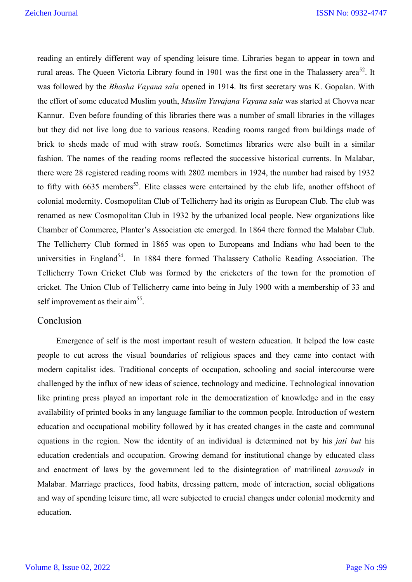reading an entirely different way of spending leisure time. Libraries began to appear in town and rural areas. The Queen Victoria Library found in 1901 was the first one in the Thalassery area<sup>52</sup>. It was followed by the *Bhasha Vayana sala* opened in 1914. Its first secretary was K. Gopalan. With the effort of some educated Muslim youth, *Muslim Yuvajana Vayana sala* was started at Chovva near Kannur. Even before founding of this libraries there was a number of small libraries in the villages but they did not live long due to various reasons. Reading rooms ranged from buildings made of brick to sheds made of mud with straw roofs. Sometimes libraries were also built in a similar fashion. The names of the reading rooms reflected the successive historical currents. In Malabar, there were 28 registered reading rooms with 2802 members in 1924, the number had raised by 1932 to fifty with  $6635$  members<sup>53</sup>. Elite classes were entertained by the club life, another offshoot of colonial modernity. Cosmopolitan Club of Tellicherry had its origin as European Club. The club was renamed as new Cosmopolitan Club in 1932 by the urbanized local people. New organizations like Chamber of Commerce, Planter's Association etc emerged. In 1864 there formed the Malabar Club. The Tellicherry Club formed in 1865 was open to Europeans and Indians who had been to the universities in England<sup>54</sup>. In 1884 there formed Thalassery Catholic Reading Association. The Tellicherry Town Cricket Club was formed by the cricketers of the town for the promotion of cricket. The Union Club of Tellicherry came into being in July 1900 with a membership of 33 and self improvement as their  $\text{aim}^{55}$ .

## Conclusion

 Emergence of self is the most important result of western education. It helped the low caste people to cut across the visual boundaries of religious spaces and they came into contact with modern capitalist ides. Traditional concepts of occupation, schooling and social intercourse were challenged by the influx of new ideas of science, technology and medicine. Technological innovation like printing press played an important role in the democratization of knowledge and in the easy availability of printed books in any language familiar to the common people. Introduction of western education and occupational mobility followed by it has created changes in the caste and communal equations in the region. Now the identity of an individual is determined not by his *jati but* his education credentials and occupation. Growing demand for institutional change by educated class and enactment of laws by the government led to the disintegration of matrilineal *taravads* in Malabar. Marriage practices, food habits, dressing pattern, mode of interaction, social obligations and way of spending leisure time, all were subjected to crucial changes under colonial modernity and education.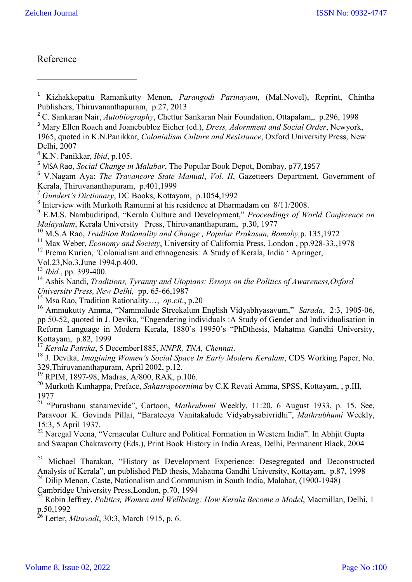Reference

**.** 

- <sup>1</sup> Kizhakkepattu Ramankutty Menon, *Parangodi Parinayam*, (Mal.Novel), Reprint, Chintha Publishers, Thiruvananthapuram, p.27, 2013
- <sup>2</sup> C. Sankaran Nair, *Autobiography*, Chettur Sankaran Nair Foundation, Ottapalam,, p.296, 1998
- <sup>3</sup> Mary Ellen Roach and Joanebubloz Eicher (ed.), *Dress, Adornment and Social Order*, Newyork, 1965, quoted in K.N.Panikkar, *Colonialism Culture and Resistance*, Oxford University Press, New Delhi, 2007

<sup>6</sup> V.Nagam Aya: *The Travancore State Manual*, *Vol. II*, Gazetteers Department, Government of Kerala, Thiruvananthapuram, p.401,1999

<sup>7</sup> *Gundert's Dictionary*, DC Books, Kottayam, p.1054,1992

<sup>8</sup> Interview with Murkoth Ramunni at his residence at Dharmadam on 8/11/2008.

<sup>9</sup> E.M.S. Nambudiripad, "Kerala Culture and Development," *Proceedings of World Conference on Malayalam*, Kerala University Press, Thiruvananthapuram, p.30, 1977

<sup>10</sup> M.S.A Rao, *Tradition Rationality and Change , Popular Prakasan, Bomaby,*p. 135,1972

<sup>11</sup> Max Weber, *Economy and Society*, University of California Press, London, pp.928-33.,1978

<sup>12</sup> Prema Kurien, *'*Colonialism and ethnogenesis: A Study of Kerala, India ' Apringer,

Vol.23,No.3,June 1994,p.400.

<sup>13</sup> *Ibid.*, pp. 399-400.

<sup>14</sup> Ashis Nandi, *Traditions, Tyranny and Utopians: Essays on the Politics of Awareness,Oxford University Press, New Delhi,* pp. 65-66,1987

<sup>15</sup> Msa Rao, Tradition Rationality…, *op.cit*., p.20

<sup>16</sup> Ammukutty Amma, "Nammalude Streekalum English Vidyabhyasavum," *Sarada*, 2:3, 1905-06, pp 50-52, quoted in J. Devika, "Engendering individuals :A Study of Gender and Individualisation in Reform Language in Modern Kerala, 1880's 19950's "PhDthesis, Mahatma Gandhi University, Kottayam, p.82, 1999<br><sup>17</sup> Kerala Patrika, 5 December 1885, NNPR, TNA, Chennai.

<sup>18</sup> J. Devika, *Imagining Women's Social Space In Early Modern Keralam*, CDS Working Paper, No. 329,Thiruvananthapuram, April 2002, p.12.

<sup>19</sup> RPIM, 1897-98, Madras, A/800, RAK, p.106.

<sup>20</sup> Murkoth Kunhappa, Preface, *Sahasrapoornima* by C.K Revati Amma, SPSS, Kottayam, , p.III, 1977

<sup>21</sup> "Purushanu stanamevide", Cartoon, *Mathrubumi* Weekly, 11:20, 6 August 1933, p. 15. See, Paravoor K. Govinda Pillai, "Barateeya Vanitakalude Vidyabysabivridhi", *Mathrubhumi* Weekly, 15:3, 5 April 1937.

<sup>22</sup> Naregal Veena, "Vernacular Culture and Political Formation in Western India". In Abhjit Gupta and Swapan Chakravorty (Eds.), Print Book History in India Areas, Delhi, Permanent Black, 2004

<sup>23</sup> Michael Tharakan, "History as Development Experience: Desegregated and Deconstructed Analysis of Kerala", un published PhD thesis, Mahatma Gandhi University, Kottayam, p.87, 1998

<sup>24</sup> Dilip Menon, Caste, Nationalism and Communism in South India, Malabar, (1900-1948)

Cambridge University Press,London, p.70, 1994

<sup>25</sup> Robin Jeffrey, *Politics, Women and Wellbeing: How Kerala Become a Model*, Macmillan, Delhi, 1 p.50,1992

<sup>26</sup> Letter, *Mitavadi*, 30:3, March 1915, p. 6.

<sup>4</sup> K.N. Panikkar, *Ibid*, p.105.

<sup>5</sup> MSA Rao, *Social Change in Malabar*, The Popular Book Depot, Bombay, p77,1957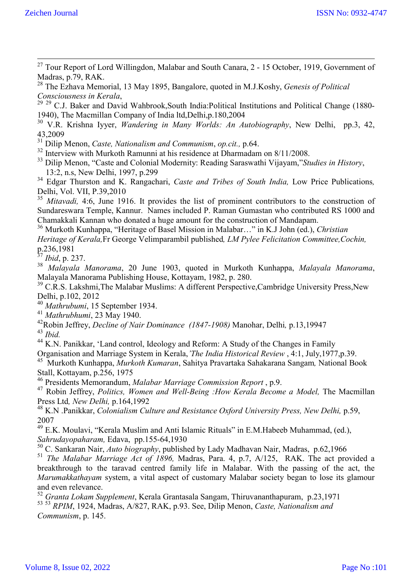<sup>27</sup> Tour Report of Lord Willingdon, Malabar and South Canara, 2 - 15 October, 1919, Government of Madras, p.79, RAK.

<sup>28</sup> The Ezhava Memorial, 13 May 1895, Bangalore, quoted in M.J.Koshy, *Genesis of Political* 

*Consciousness in Kerala*,<br><sup>29 29</sup> C.J. Baker and David Wahbrook,South India:Political Institutions and Political Change (1880-1940), The Macmillan Company of India ltd,Delhi,p.180,2004

<sup>30</sup> V.R. Krishna Iyyer, *Wandering in Many Worlds: An Autobiography*, New Delhi, pp.3, 42, 43,2009

<sup>31</sup> Dilip Menon, *Caste, Nationalism and Communism*, *op.cit.,* p.64.

<sup>32</sup> Interview with Murkoth Ramunni at his residence at Dharmadam on 8/11/2008.

<sup>33</sup> Dilip Menon, "Caste and Colonial Modernity: Reading Saraswathi Vijayam,"*Studies in History*, 13:2, n.s, New Delhi, 1997, p.299

<sup>34</sup> Edgar Thurston and K. Rangachari, *Caste and Tribes of South India,* Low Price Publications*,* Delhi, Vol. VII, P.39,2010

<sup>35</sup> *Mitavadi*, 4:6, June 1916. It provides the list of prominent contributors to the construction of Sundareswara Temple, Kannur. Names included P. Raman Gumastan who contributed RS 1000 and Chamakkali Kannan who donated a huge amount for the construction of Mandapam.

<sup>36</sup> Murkoth Kunhappa, "Heritage of Basel Mission in Malabar…" in K.J John (ed.), *Christian Heritage of Kerala,*Fr George Velimparambil published*, LM Pylee Felicitation Committee,Cochin,*  $p.236,1981$ 

*Ibid*, p. 237.

<sup>38</sup> *Malayala Manorama*, 20 June 1903, quoted in Murkoth Kunhappa, *Malayala Manorama*, Malayala Manorama Publishing House, Kottayam, 1982, p. 280.

<sup>39</sup> C.R.S. Lakshmi, The Malabar Muslims: A different Perspective, Cambridge University Press, New Delhi, p.102, 2012

<sup>40</sup> *Mathrubumi*, 15 September 1934.

<sup>41</sup> *Mathrubhumi*, 23 May 1940.

42Robin Jeffrey, *Decline of Nair Dominance (1847-1908)* Manohar, Delhi*,* p.13,19947

<sup>43</sup> *Ibid.*

<sup>44</sup> K.N. Panikkar, 'Land control, Ideology and Reform: A Study of the Changes in Family

Organisation and Marriage System in Kerala,*'The India Historical Review* , 4:1, July,1977,p.39.

45 Murkoth Kunhappa, *Murkoth Kumaran*, Sahitya Pravartaka Sahakarana Sangam*,* National Book Stall, Kottayam, p.256, 1975

<sup>46</sup> Presidents Memorandum, *Malabar Marriage Commission Report* , p.9.

<sup>47</sup> Robin Jeffrey, *Politics, Women and Well-Being :How Kerala Become a Model,* The Macmillan Press Ltd*, New Delhi,* p.164,1992

<sup>48</sup> K.N .Panikkar, *Colonialism Culture and Resistance Oxford University Press, New Delhi,* p.59, 2007

<sup>49</sup> E.K. Moulavi, "Kerala Muslim and Anti Islamic Rituals" in E.M.Habeeb Muhammad, (ed.), *Sahrudayopaharam,* Edava, pp.155-64,1930

<sup>50</sup> C. Sankaran Nair, *Auto biography*, published by Lady Madhavan Nair, Madras, p.62,1966

<sup>51</sup> *The Malabar Marriage Act of 1896,* Madras, Para. 4, p.7, A/125, RAK. The act provided a breakthrough to the taravad centred family life in Malabar. With the passing of the act, the *Marumakkathayam* system, a vital aspect of customary Malabar society began to lose its glamour and even relevance.

<sup>52</sup> *Granta Lokam Supplement*, Kerala Grantasala Sangam, Thiruvananthapuram, p.23,1971 <sup>53</sup> <sup>53</sup> *RPIM*, 1924, Madras, A/827, RAK, p.93. See, Dilip Menon, *Caste, Nationalism and Communism*, p. 145.